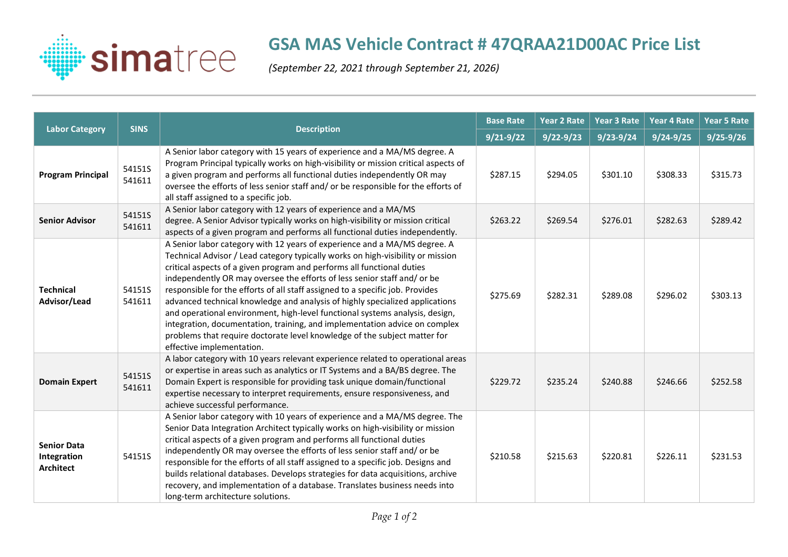

## **GSA MAS Vehicle Contract # 47QRAA21D00AC Price List**

*(September 22, 2021 through September 21, 2026)*

| <b>Labor Category</b>                                 | <b>SINS</b>      | <b>Description</b>                                                                                                                                                                                                                                                                                                                                                                                                                                                                                                                                                                                                                                                                                                                                          | <b>Base Rate</b> | Year 2 Rate   | Year 3 Rate   | Year 4 Rate   | <b>Year 5 Rate</b> |
|-------------------------------------------------------|------------------|-------------------------------------------------------------------------------------------------------------------------------------------------------------------------------------------------------------------------------------------------------------------------------------------------------------------------------------------------------------------------------------------------------------------------------------------------------------------------------------------------------------------------------------------------------------------------------------------------------------------------------------------------------------------------------------------------------------------------------------------------------------|------------------|---------------|---------------|---------------|--------------------|
|                                                       |                  |                                                                                                                                                                                                                                                                                                                                                                                                                                                                                                                                                                                                                                                                                                                                                             | $9/21 - 9/22$    | $9/22 - 9/23$ | $9/23 - 9/24$ | $9/24 - 9/25$ | $9/25 - 9/26$      |
| <b>Program Principal</b>                              | 54151S<br>541611 | A Senior labor category with 15 years of experience and a MA/MS degree. A<br>Program Principal typically works on high-visibility or mission critical aspects of<br>a given program and performs all functional duties independently OR may<br>oversee the efforts of less senior staff and/ or be responsible for the efforts of<br>all staff assigned to a specific job.                                                                                                                                                                                                                                                                                                                                                                                  | \$287.15         | \$294.05      | \$301.10      | \$308.33      | \$315.73           |
| <b>Senior Advisor</b>                                 | 54151S<br>541611 | A Senior labor category with 12 years of experience and a MA/MS<br>degree. A Senior Advisor typically works on high-visibility or mission critical<br>aspects of a given program and performs all functional duties independently.                                                                                                                                                                                                                                                                                                                                                                                                                                                                                                                          | \$263.22         | \$269.54      | \$276.01      | \$282.63      | \$289.42           |
| <b>Technical</b><br>Advisor/Lead                      | 54151S<br>541611 | A Senior labor category with 12 years of experience and a MA/MS degree. A<br>Technical Advisor / Lead category typically works on high-visibility or mission<br>critical aspects of a given program and performs all functional duties<br>independently OR may oversee the efforts of less senior staff and/ or be<br>responsible for the efforts of all staff assigned to a specific job. Provides<br>advanced technical knowledge and analysis of highly specialized applications<br>and operational environment, high-level functional systems analysis, design,<br>integration, documentation, training, and implementation advice on complex<br>problems that require doctorate level knowledge of the subject matter for<br>effective implementation. | \$275.69         | \$282.31      | \$289.08      | \$296.02      | \$303.13           |
| <b>Domain Expert</b>                                  | 54151S<br>541611 | A labor category with 10 years relevant experience related to operational areas<br>or expertise in areas such as analytics or IT Systems and a BA/BS degree. The<br>Domain Expert is responsible for providing task unique domain/functional<br>expertise necessary to interpret requirements, ensure responsiveness, and<br>achieve successful performance.                                                                                                                                                                                                                                                                                                                                                                                                | \$229.72         | \$235.24      | \$240.88      | \$246.66      | \$252.58           |
| <b>Senior Data</b><br>Integration<br><b>Architect</b> | 54151S           | A Senior labor category with 10 years of experience and a MA/MS degree. The<br>Senior Data Integration Architect typically works on high-visibility or mission<br>critical aspects of a given program and performs all functional duties<br>independently OR may oversee the efforts of less senior staff and/ or be<br>responsible for the efforts of all staff assigned to a specific job. Designs and<br>builds relational databases. Develops strategies for data acquisitions, archive<br>recovery, and implementation of a database. Translates business needs into<br>long-term architecture solutions.                                                                                                                                              | \$210.58         | \$215.63      | \$220.81      | \$226.11      | \$231.53           |